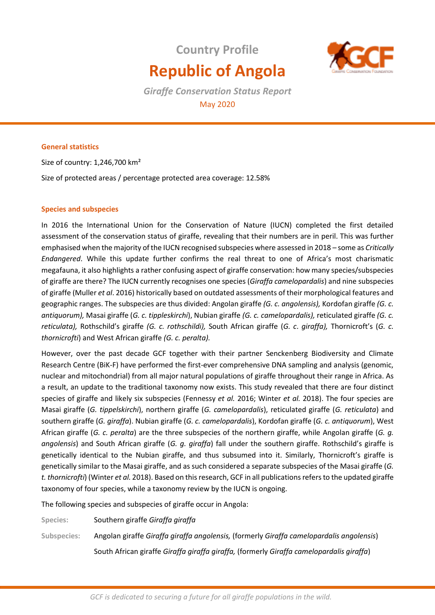# **Country Profile Republic of Angola**



*Giraffe Conservation Status Report*  May 2020

# **General statistics**

Size of country: 1,246,700 km² Size of protected areas / percentage protected area coverage: 12.58%

## **Species and subspecies**

In 2016 the International Union for the Conservation of Nature (IUCN) completed the first detailed assessment of the conservation status of giraffe, revealing that their numbers are in peril. This was further emphasised when the majority of the IUCN recognised subspecies where assessed in 2018 – some as *Critically Endangered*. While this update further confirms the real threat to one of Africa's most charismatic megafauna, it also highlights a rather confusing aspect of giraffe conservation: how many species/subspecies of giraffe are there? The IUCN currently recognises one species (*Giraffa camelopardalis*) and nine subspecies of giraffe (Muller *et al*. 2016) historically based on outdated assessments of their morphological features and geographic ranges. The subspecies are thus divided: Angolan giraffe *(G. c. angolensis),* Kordofan giraffe *(G. c. antiquorum),* Masai giraffe (*G. c. tippleskirchi*), Nubian giraffe *(G. c. camelopardalis),* reticulated giraffe *(G. c. reticulata),* Rothschild's giraffe *(G. c. rothschildi),* South African giraffe (*G. c*. *giraffa),* Thornicroft's (*G. c. thornicrofti*) and West African giraffe *(G. c. peralta).* 

However, over the past decade GCF together with their partner Senckenberg Biodiversity and Climate Research Centre (BiK-F) have performed the first-ever comprehensive DNA sampling and analysis (genomic, nuclear and mitochondrial) from all major natural populations of giraffe throughout their range in Africa. As a result, an update to the traditional taxonomy now exists. This study revealed that there are four distinct species of giraffe and likely six subspecies (Fennessy *et al.* 2016; Winter *et al.* 2018). The four species are Masai giraffe (*G. tippelskirchi*), northern giraffe (*G. camelopardalis*), reticulated giraffe (*G. reticulata*) and southern giraffe (*G. giraffa*). Nubian giraffe (*G. c. camelopardalis*), Kordofan giraffe (*G. c. antiquorum*), West African giraffe (*G. c. peralta*) are the three subspecies of the northern giraffe, while Angolan giraffe (*G. g. angolensis*) and South African giraffe (*G. g. giraffa*) fall under the southern giraffe. Rothschild's giraffe is genetically identical to the Nubian giraffe, and thus subsumed into it. Similarly, Thornicroft's giraffe is genetically similar to the Masai giraffe, and as such considered a separate subspecies of the Masai giraffe (*G. t. thornicrofti*) (Winter *et al.* 2018). Based on this research, GCF in all publications refers to the updated giraffe taxonomy of four species, while a taxonomy review by the IUCN is ongoing.

The following species and subspecies of giraffe occur in Angola:

**Species:** Southern giraffe *Giraffa giraffa* 

**Subspecies:** Angolan giraffe *Giraffa giraffa angolensis,* (formerly *Giraffa camelopardalis angolensis*)

South African giraffe *Giraffa giraffa giraffa,* (formerly *Giraffa camelopardalis giraffa*)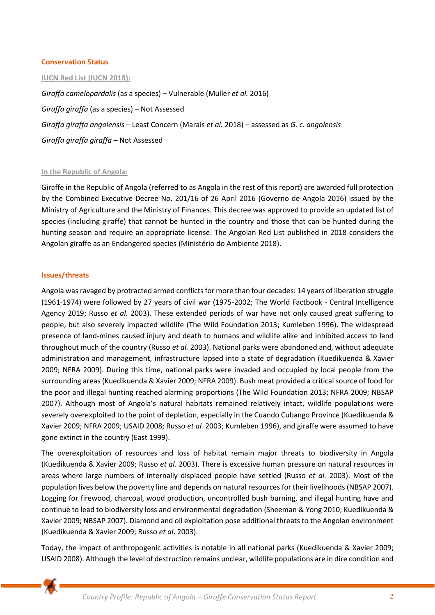#### **Conservation Status**

#### **IUCN Red List (IUCN 2018):**

*Giraffa camelopardalis* (as a species) – Vulnerable (Muller *et al.* 2016) *Giraffa giraffa* (as a species) – Not Assessed *Giraffa giraffa angolensis* – Least Concern (Marais *et al.* 2018) – assessed as *G. c. angolensis Giraffa giraffa giraffa* – Not Assessed

#### **In the Republic of Angola:**

Giraffe in the Republic of Angola (referred to as Angola in the rest of this report) are awarded full protection by the Combined Executive Decree No. 201/16 of 26 April 2016 (Governo de Angola 2016) issued by the Ministry of Agriculture and the Ministry of Finances. This decree was approved to provide an updated list of species (including giraffe) that cannot be hunted in the country and those that can be hunted during the hunting season and require an appropriate license. The Angolan Red List published in 2018 considers the Angolan giraffe as an Endangered species (Ministério do Ambiente 2018).

## **Issues/threats**

Angola was ravaged by protracted armed conflicts for more than four decades: 14 years of liberation struggle (1961-1974) were followed by 27 years of civil war (1975-2002; The World Factbook - Central Intelligence Agency 2019; Russo *et al.* 2003). These extended periods of war have not only caused great suffering to people, but also severely impacted wildlife (The Wild Foundation 2013; Kumleben 1996). The widespread presence of land-mines caused injury and death to humans and wildlife alike and inhibited access to land throughout much of the country (Russo *et al.* 2003). National parks were abandoned and, without adequate administration and management, infrastructure lapsed into a state of degradation (Kuedikuenda & Xavier 2009; NFRA 2009). During this time, national parks were invaded and occupied by local people from the surrounding areas (Kuedikuenda & Xavier 2009; NFRA 2009). Bush meat provided a critical source of food for the poor and illegal hunting reached alarming proportions (The Wild Foundation 2013; NFRA 2009; NBSAP 2007). Although most of Angola's natural habitats remained relatively intact, wildlife populations were severely overexploited to the point of depletion, especially in the Cuando Cubango Province (Kuedikuenda & Xavier 2009; NFRA 2009; USAID 2008; Russo *et al.* 2003; Kumleben 1996), and giraffe were assumed to have gone extinct in the country (East 1999).

The overexploitation of resources and loss of habitat remain major threats to biodiversity in Angola (Kuedikuenda & Xavier 2009; Russo *et al.* 2003). There is excessive human pressure on natural resources in areas where large numbers of internally displaced people have settled (Russo *et al.* 2003). Most of the population lives below the poverty line and depends on natural resources for their livelihoods (NBSAP 2007). Logging for firewood, charcoal, wood production, uncontrolled bush burning, and illegal hunting have and continue to lead to biodiversity loss and environmental degradation (Sheeman & Yong 2010; Kuedikuenda & Xavier 2009; NBSAP 2007). Diamond and oil exploitation pose additional threats to the Angolan environment (Kuedikuenda & Xavier 2009; Russo *et al*. 2003).

Today, the impact of anthropogenic activities is notable in all national parks (Kuedikuenda & Xavier 2009; USAID 2008). Although the level of destruction remains unclear, wildlife populations are in dire condition and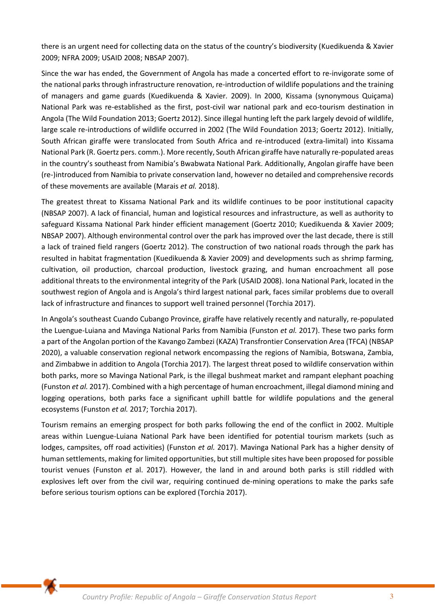there is an urgent need for collecting data on the status of the country's biodiversity (Kuedikuenda & Xavier 2009; NFRA 2009; USAID 2008; NBSAP 2007).

Since the war has ended, the Government of Angola has made a concerted effort to re-invigorate some of the national parks through infrastructure renovation, re-introduction of wildlife populations and the training of managers and game guards (Kuedikuenda & Xavier*.* 2009). In 2000, Kissama (synonymous Quiçama) National Park was re-established as the first, post-civil war national park and eco-tourism destination in Angola (The Wild Foundation 2013; Goertz 2012). Since illegal hunting left the park largely devoid of wildlife, large scale re-introductions of wildlife occurred in 2002 (The Wild Foundation 2013; Goertz 2012). Initially, South African giraffe were translocated from South Africa and re-introduced (extra-limital) into Kissama National Park (R. Goertz pers. comm.). More recently, South African giraffe have naturally re-populated areas in the country's southeast from Namibia's Bwabwata National Park. Additionally, Angolan giraffe have been (re-)introduced from Namibia to private conservation land, however no detailed and comprehensive records of these movements are available (Marais *et al.* 2018).

The greatest threat to Kissama National Park and its wildlife continues to be poor institutional capacity (NBSAP 2007). A lack of financial, human and logistical resources and infrastructure, as well as authority to safeguard Kissama National Park hinder efficient management (Goertz 2010; Kuedikuenda & Xavier 2009; NBSAP 2007). Although environmental control over the park has improved over the last decade, there is still a lack of trained field rangers (Goertz 2012). The construction of two national roads through the park has resulted in habitat fragmentation (Kuedikuenda & Xavier 2009) and developments such as shrimp farming, cultivation, oil production, charcoal production, livestock grazing, and human encroachment all pose additional threats to the environmental integrity of the Park (USAID 2008). Iona National Park, located in the southwest region of Angola and is Angola's third largest national park, faces similar problems due to overall lack of infrastructure and finances to support well trained personnel (Torchia 2017).

In Angola's southeast Cuando Cubango Province, giraffe have relatively recently and naturally, re-populated the Luengue-Luiana and Mavinga National Parks from Namibia (Funston *et al.* 2017). These two parks form a part of the Angolan portion of the Kavango Zambezi (KAZA) Transfrontier Conservation Area (TFCA) (NBSAP 2020), a valuable conservation regional network encompassing the regions of Namibia, Botswana, Zambia, and Zimbabwe in addition to Angola (Torchia 2017). The largest threat posed to wildlife conservation within both parks, more so Mavinga National Park, is the illegal bushmeat market and rampant elephant poaching (Funston *et al.* 2017). Combined with a high percentage of human encroachment, illegal diamond mining and logging operations, both parks face a significant uphill battle for wildlife populations and the general ecosystems (Funston *et al.* 2017; Torchia 2017).

Tourism remains an emerging prospect for both parks following the end of the conflict in 2002. Multiple areas within Luengue-Luiana National Park have been identified for potential tourism markets (such as lodges, campsites, off road activities) (Funston *et al.* 2017). Mavinga National Park has a higher density of human settlements, making for limited opportunities, but still multiple sites have been proposed for possible tourist venues (Funston *et* al. 2017). However, the land in and around both parks is still riddled with explosives left over from the civil war, requiring continued de-mining operations to make the parks safe before serious tourism options can be explored (Torchia 2017).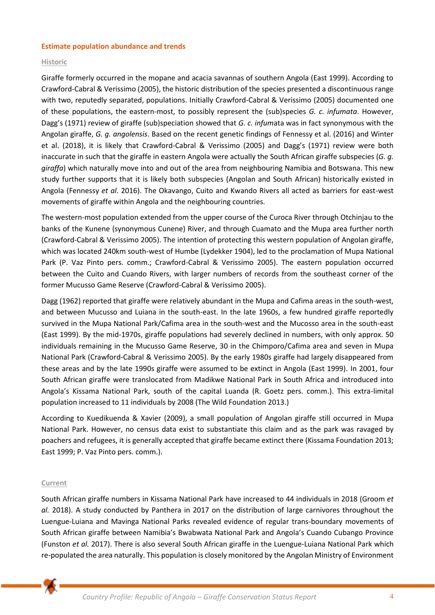#### **Estimate population abundance and trends**

## **Historic**

Giraffe formerly occurred in the mopane and acacia savannas of southern Angola (East 1999). According to Crawford-Cabral & Verissimo (2005), the historic distribution of the species presented a discontinuous range with two, reputedly separated, populations. Initially Crawford-Cabral & Verissimo (2005) documented one of these populations, the eastern-most, to possibly represent the (sub)species *G. c. infumata*. However, Dagg's (1971) review of giraffe (sub)speciation showed that *G. c. infum*ata was in fact synonymous with the Angolan giraffe, *G. g. angolensis*. Based on the recent genetic findings of Fennessy et al. (2016) and Winter et al. (2018), it is likely that Crawford-Cabral & Verissimo (2005) and Dagg's (1971) review were both inaccurate in such that the giraffe in eastern Angola were actually the South African giraffe subspecies (*G. g. giraffa*) which naturally move into and out of the area from neighbouring Namibia and Botswana. This new study further supports that it is likely both subspecies (Angolan and South African) historically existed in Angola (Fennessy *et al*. 2016). The Okavango, Cuito and Kwando Rivers all acted as barriers for east-west movements of giraffe within Angola and the neighbouring countries.

The western-most population extended from the upper course of the Curoca River through Otchinjau to the banks of the Kunene (synonymous Cunene) River, and through Cuamato and the Mupa area further north (Crawford-Cabral & Verissimo 2005). The intention of protecting this western population of Angolan giraffe, which was located 240km south-west of Humbe (Lydekker 1904), led to the proclamation of Mupa National Park (P. Vaz Pinto pers. comm.; Crawford-Cabral & Verissimo 2005). The eastern population occurred between the Cuito and Cuando Rivers, with larger numbers of records from the southeast corner of the former Mucusso Game Reserve (Crawford-Cabral & Verissimo 2005).

Dagg (1962) reported that giraffe were relatively abundant in the Mupa and Cafima areas in the south-west, and between Mucusso and Luiana in the south-east. In the late 1960s, a few hundred giraffe reportedly survived in the Mupa National Park/Cafima area in the south-west and the Mucosso area in the south-east (East 1999). By the mid-1970s, giraffe populations had severely declined in numbers, with only approx. 50 individuals remaining in the Mucusso Game Reserve, 30 in the Chimporo/Cafima area and seven in Mupa National Park (Crawford-Cabral & Verissimo 2005). By the early 1980s giraffe had largely disappeared from these areas and by the late 1990s giraffe were assumed to be extinct in Angola (East 1999). In 2001, four South African giraffe were translocated from Madikwe National Park in South Africa and introduced into Angola's Kissama National Park, south of the capital Luanda (R. Goetz pers. comm.). This extra-limital population increased to 11 individuals by 2008 (The Wild Foundation 2013.)

According to Kuedikuenda & Xavier (2009), a small population of Angolan giraffe still occurred in Mupa National Park. However, no census data exist to substantiate this claim and as the park was ravaged by poachers and refugees, it is generally accepted that giraffe became extinct there (Kissama Foundation 2013; East 1999; P. Vaz Pinto pers. comm.).

#### **Current**

South African giraffe numbers in Kissama National Park have increased to 44 individuals in 2018 (Groom *et al.* 2018). A study conducted by Panthera in 2017 on the distribution of large carnivores throughout the Luengue-Luiana and Mavinga National Parks revealed evidence of regular trans-boundary movements of South African giraffe between Namibia's Bwabwata National Park and Angola's Cuando Cubango Province (Funston *et al.* 2017). There is also several South African giraffe in the Luengue-Luiana National Park which re-populated the area naturally. This population is closely monitored by the Angolan Ministry of Environment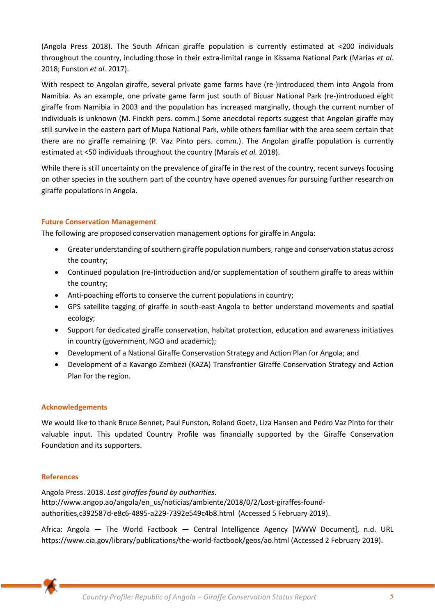(Angola Press 2018). The South African giraffe population is currently estimated at <200 individuals throughout the country, including those in their extra-limital range in Kissama National Park (Marias *et al.* 2018; Funston *et al.* 2017).

With respect to Angolan giraffe, several private game farms have (re-)introduced them into Angola from Namibia. As an example, one private game farm just south of Bicuar National Park (re-)introduced eight giraffe from Namibia in 2003 and the population has increased marginally, though the current number of individuals is unknown (M. Finckh pers. comm.) Some anecdotal reports suggest that Angolan giraffe may still survive in the eastern part of Mupa National Park, while others familiar with the area seem certain that there are no giraffe remaining (P. Vaz Pinto pers. comm.). The Angolan giraffe population is currently estimated at <50 individuals throughout the country (Marais *et al.* 2018).

While there is still uncertainty on the prevalence of giraffe in the rest of the country, recent surveys focusing on other species in the southern part of the country have opened avenues for pursuing further research on giraffe populations in Angola.

# **Future Conservation Management**

The following are proposed conservation management options for giraffe in Angola:

- Greater understanding of southern giraffe population numbers, range and conservation status across the country;
- Continued population (re-)introduction and/or supplementation of southern giraffe to areas within the country;
- Anti-poaching efforts to conserve the current populations in country;
- GPS satellite tagging of giraffe in south-east Angola to better understand movements and spatial ecology;
- Support for dedicated giraffe conservation, habitat protection, education and awareness initiatives in country (government, NGO and academic);
- Development of a National Giraffe Conservation Strategy and Action Plan for Angola; and
- Development of a Kavango Zambezi (KAZA) Transfrontier Giraffe Conservation Strategy and Action Plan for the region.

## **Acknowledgements**

We would like to thank Bruce Bennet, Paul Funston, Roland Goetz, Liza Hansen and Pedro Vaz Pinto for their valuable input. This updated Country Profile was financially supported by the Giraffe Conservation Foundation and its supporters.

## **References**

Angola Press. 2018. *Lost giraffes found by authorities*. http://www.angop.ao/angola/en\_us/noticias/ambiente/2018/0/2/Lost-giraffes-foundauthorities,c392587d-e8c6-4895-a229-7392e549c4b8.html (Accessed 5 February 2019).

Africa: Angola — The World Factbook — Central Intelligence Agency [WWW Document], n.d. URL https://www.cia.gov/library/publications/the-world-factbook/geos/ao.html (Accessed 2 February 2019).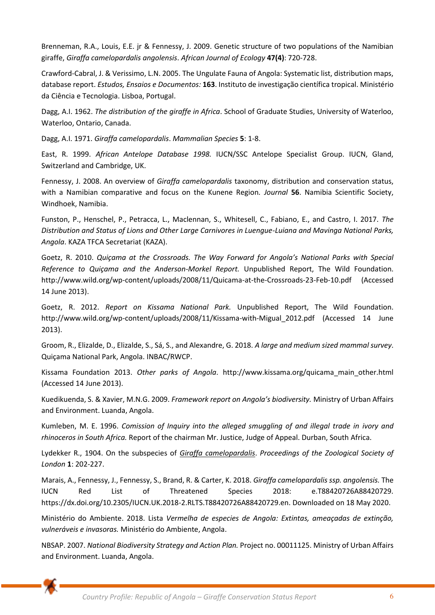Brenneman, R.A., Louis, E.E. jr & Fennessy, J. 2009. Genetic structure of two populations of the Namibian giraffe, *Giraffa camelopardalis angolensis*. *African Journal of Ecology* **47(4)**: 720-728.

Crawford-Cabral, J. & Verissimo, L.N. 2005. The Ungulate Fauna of Angola: Systematic list, distribution maps, database report. *Estudos, Ensaios e Documentos:* **163**. Instituto de investigação científica tropical. Ministério da Ciência e Tecnologia. Lisboa, Portugal.

Dagg, A.I. 1962. *The distribution of the giraffe in Africa*. School of Graduate Studies, University of Waterloo, Waterloo, Ontario, Canada.

Dagg, A.I. 1971. *Giraffa camelopardalis*. *Mammalian Species* **5**: 1-8.

East, R. 1999. *African Antelope Database 1998.* IUCN/SSC Antelope Specialist Group. IUCN, Gland, Switzerland and Cambridge, UK.

Fennessy, J. 2008. An overview of *Giraffa camelopardalis* taxonomy, distribution and conservation status, with a Namibian comparative and focus on the Kunene Region*. Journal* **56**. Namibia Scientific Society, Windhoek, Namibia.

Funston, P., Henschel, P., Petracca, L., Maclennan, S., Whitesell, C., Fabiano, E., and Castro, I. 2017. *The Distribution and Status of Lions and Other Large Carnivores in Luengue-Luiana and Mavinga National Parks, Angola*. KAZA TFCA Secretariat (KAZA).

Goetz, R. 2010. *Quiçama at the Crossroads. The Way Forward for Angola's National Parks with Special Reference to Quiçama and the Anderson-Morkel Report.* Unpublished Report, The Wild Foundation. <http://www.wild.org/wp-content/uploads/2008/11/Quicama-at-the-Crossroads-23-Feb-10.pdf>(Accessed 14 June 2013).

Goetz, R. 2012. *Report on Kissama National Park.* Unpublished Report, The Wild Foundation. http://www.wild.org/wp-content/uploads/2008/11/Kissama-with-Migual\_2012.pdf (Accessed 14 June 2013).

Groom, R., Elizalde, D., Elizalde, S., Sá, S., and Alexandre, G. 2018. *A large and medium sized mammal survey*. Quiçama National Park, Angola. INBAC/RWCP.

Kissama Foundation 2013. *Other parks of Angola*. http://www.kissama.org/quicama\_main\_other.html (Accessed 14 June 2013).

Kuedikuenda, S. & Xavier, M.N.G. 2009. *Framework report on Angola's biodiversity.* Ministry of Urban Affairs and Environment. Luanda, Angola.

Kumleben, M. E. 1996. *Comission of Inquiry into the alleged smuggling of and illegal trade in ivory and rhinoceros in South Africa.* Report of the chairman Mr. Justice, Judge of Appeal. Durban, South Africa.

Lydekker R., 1904. On the subspecies of *Giraffa camelopardalis*. *Proceedings of the Zoological Society of London* **1**: 202-227.

Marais, A., Fennessy, J., Fennessy, S., Brand, R. & Carter, K. 2018. *Giraffa camelopardalis ssp. angolensis.* The IUCN Red List of Threatened Species 2018: e.T88420726A88420729. https://dx.doi.org/10.2305/IUCN.UK.2018-2.RLTS.T88420726A88420729.en. Downloaded on 18 May 2020.

Ministério do Ambiente. 2018. Lista *Vermelha de especies de Angola: Extintas, ameaçadas de extinção, vulneráveis e invasoras.* Ministério do Ambiente, Angola.

NBSAP. 2007. *National Biodiversity Strategy and Action Plan.* Project no. 00011125. Ministry of Urban Affairs and Environment. Luanda, Angola.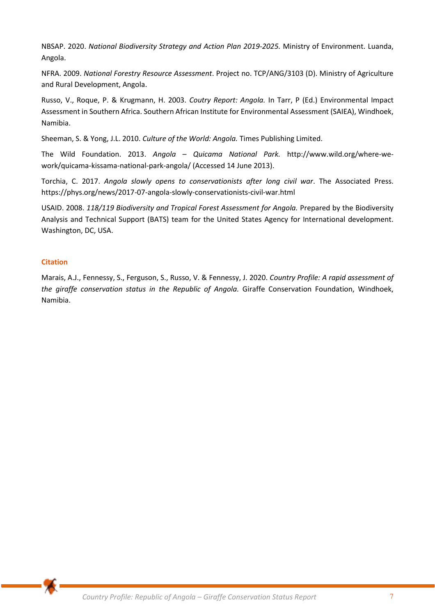NBSAP. 2020. *National Biodiversity Strategy and Action Plan 2019-2025.* Ministry of Environment. Luanda, Angola.

NFRA. 2009. *National Forestry Resource Assessment*. Project no. TCP/ANG/3103 (D). Ministry of Agriculture and Rural Development, Angola.

Russo, V., Roque, P. & Krugmann, H. 2003. *Coutry Report: Angola.* In Tarr, P (Ed.) Environmental Impact Assessment in Southern Africa. Southern African Institute for Environmental Assessment (SAIEA), Windhoek, Namibia.

Sheeman, S. & Yong, J.L. 2010. *Culture of the World: Angola.* Times Publishing Limited.

The Wild Foundation. 2013. *Angola – Quicama National Park.* http://www.wild.org/where-wework/quicama-kissama-national-park-angola/ (Accessed 14 June 2013).

Torchia, C. 2017. *Angola slowly opens to conservationists after long civil war*. The Associated Press. https://phys.org/news/2017-07-angola-slowly-conservationists-civil-war.html

USAID. 2008. *118/119 Biodiversity and Tropical Forest Assessment for Angola.* Prepared by the Biodiversity Analysis and Technical Support (BATS) team for the United States Agency for International development. Washington, DC, USA.

# **Citation**

Marais, A.J., Fennessy, S., Ferguson, S., Russo, V. & Fennessy, J. 2020. *Country Profile: A rapid assessment of the giraffe conservation status in the Republic of Angola.* Giraffe Conservation Foundation, Windhoek, Namibia.